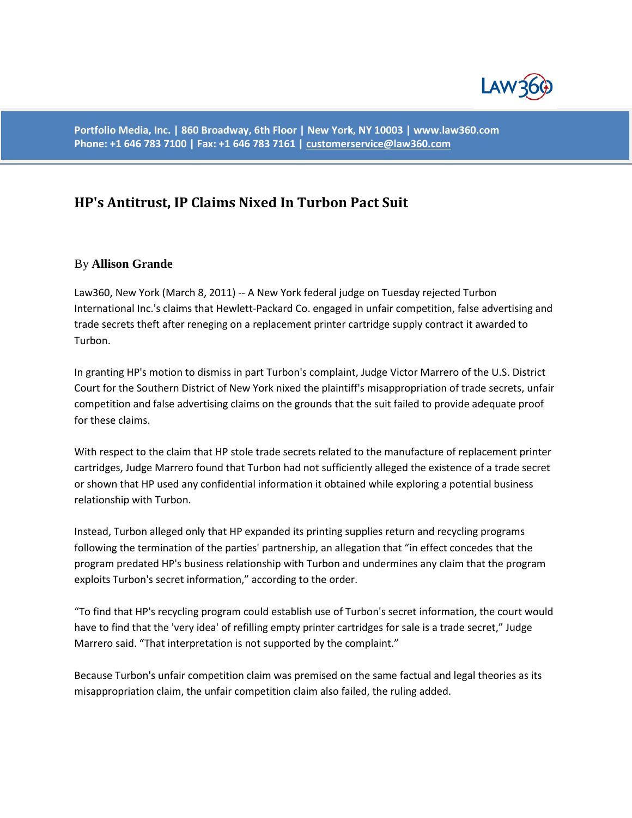

**Portfolio Media, Inc. | 860 Broadway, 6th Floor | New York, NY 10003 | www.law360.com Phone: +1 646 783 7100 | Fax: +1 646 783 7161 [| customerservice@law360.com](mailto:customerservice@law360.com)**

## **HP's Antitrust, IP Claims Nixed In Turbon Pact Suit**

## By **Allison Grande**

Law360, New York (March 8, 2011) -- A New York federal judge on Tuesday rejected Turbon International Inc.'s claims that Hewlett-Packard Co. engaged in unfair competition, false advertising and trade secrets theft after reneging on a replacement printer cartridge supply contract it awarded to Turbon.

In granting HP's motion to dismiss in part Turbon's complaint, Judge Victor Marrero of the U.S. District Court for the Southern District of New York nixed the plaintiff's misappropriation of trade secrets, unfair competition and false advertising claims on the grounds that the suit failed to provide adequate proof for these claims.

With respect to the claim that HP stole trade secrets related to the manufacture of replacement printer cartridges, Judge Marrero found that Turbon had not sufficiently alleged the existence of a trade secret or shown that HP used any confidential information it obtained while exploring a potential business relationship with Turbon.

Instead, Turbon alleged only that HP expanded its printing supplies return and recycling programs following the termination of the parties' partnership, an allegation that "in effect concedes that the program predated HP's business relationship with Turbon and undermines any claim that the program exploits Turbon's secret information," according to the order.

"To find that HP's recycling program could establish use of Turbon's secret information, the court would have to find that the 'very idea' of refilling empty printer cartridges for sale is a trade secret," Judge Marrero said. "That interpretation is not supported by the complaint."

Because Turbon's unfair competition claim was premised on the same factual and legal theories as its misappropriation claim, the unfair competition claim also failed, the ruling added.